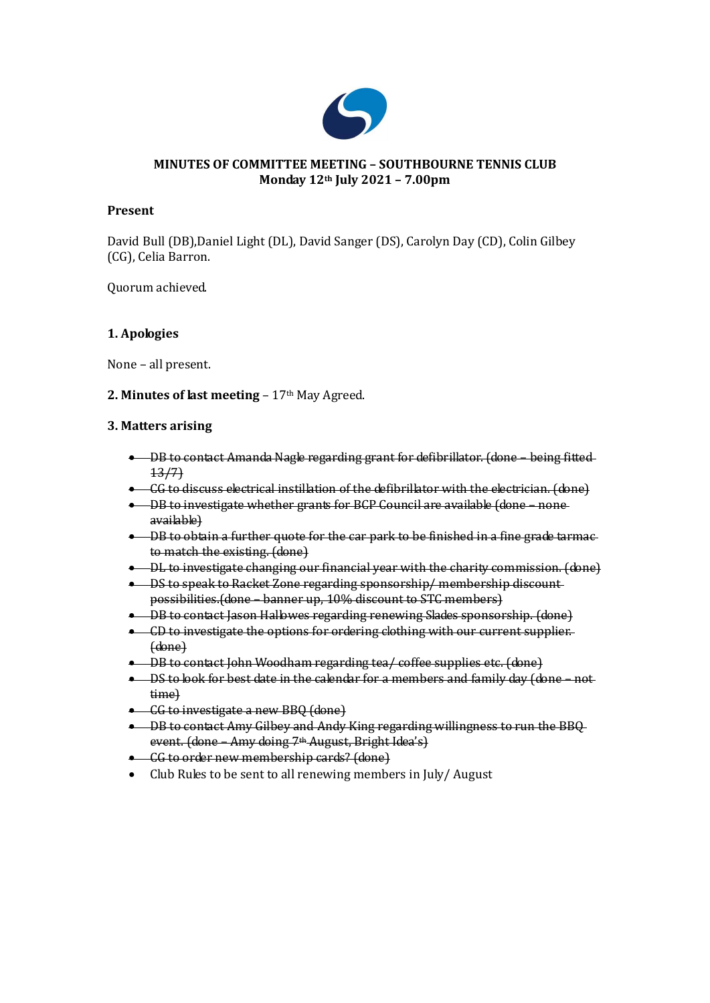

### **MINUTES OF COMMITTEE MEETING – SOUTHBOURNE TENNIS CLUB Monday 12th July 2021 – 7.00pm**

### **Present**

David Bull (DB),Daniel Light (DL), David Sanger (DS), Carolyn Day (CD), Colin Gilbey (CG), Celia Barron.

Quorum achieved.

### **1. Apologies**

None – all present.

### **2. Minutes of last meeting – 17th May Agreed.**

### **3. Matters arising**

- DB to contact Amanda Nagle regarding grant for defibrillator. (done being fitted 13/7)
- GG to discuss electrical instillation of the defibrillator with the electrician. (done)
- DB to investigate whether grants for BCP Council are available (done none available)
- DB to obtain a further quote for the car park to be finished in a fine grade tarmacto match the existing. (done)
- DL to investigate changing our financial year with the charity commission. (done)
- DS to speak to Racket Zone regarding sponsorship/ membership discountpossibilities.(done – banner up, 10% discount to STC members)
- DB to contact Jason Hallowes regarding renewing Slades sponsorship. (done)
- CD to investigate the options for ordering clothing with our current supplier. (done)
- DB to contact John Woodham regarding tea/ coffee supplies etc. (done)
- DS to look for best date in the calendar for a members and family day (done not time)
- CG to investigate a new BBQ (done)
- DB to contact Amy Gilbey and Andy King regarding willingness to run the BBQ event. (done – Amy doing 7th August, Bright Idea's)
- CG to order new membership cards? (done)
- Club Rules to be sent to all renewing members in July/ August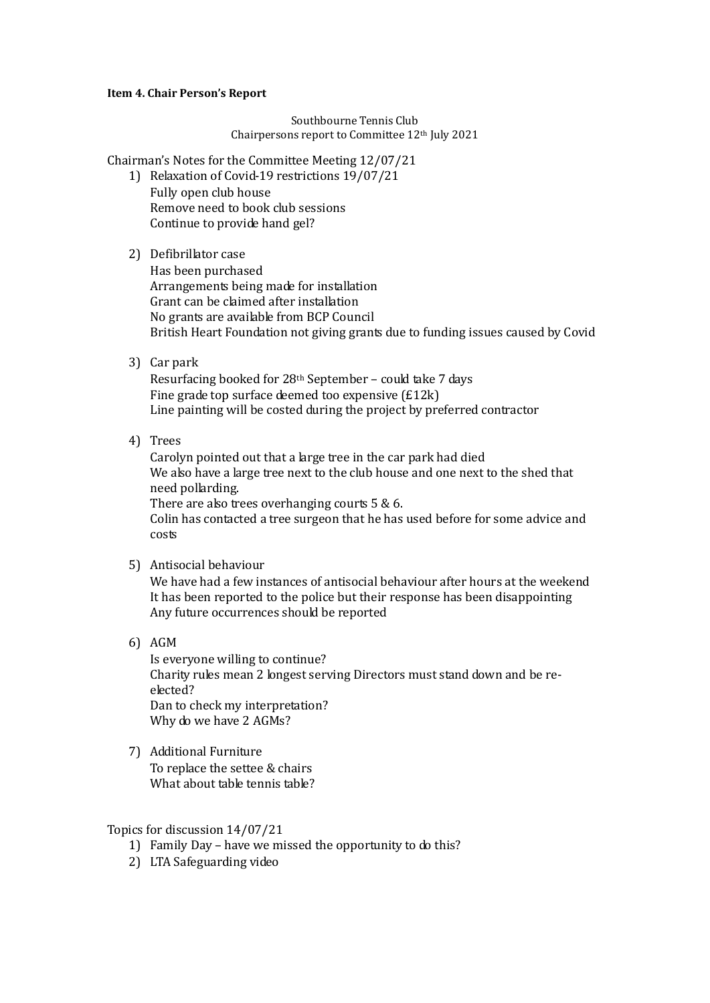#### **Item 4. Chair Person's Report**

#### Southbourne Tennis Club Chairpersons report to Committee 12th July 2021

Chairman's Notes for the Committee Meeting 12/07/21

- 1) Relaxation of Covid-19 restrictions 19/07/21 Fully open club house Remove need to book club sessions Continue to provide hand gel?
- 2) Defibrillator case
	- Has been purchased Arrangements being made for installation Grant can be claimed after installation No grants are available from BCP Council British Heart Foundation not giving grants due to funding issues caused by Covid
- 3) Car park

Resurfacing booked for 28th September – could take 7 days Fine grade top surface deemed too expensive (£12k) Line painting will be costed during the project by preferred contractor

4) Trees

Carolyn pointed out that a large tree in the car park had died We also have a large tree next to the club house and one next to the shed that need pollarding. There are also trees overhanging courts 5 & 6.

Colin has contacted a tree surgeon that he has used before for some advice and costs

5) Antisocial behaviour

We have had a few instances of antisocial behaviour after hours at the weekend It has been reported to the police but their response has been disappointing Any future occurrences should be reported

6) AGM

Is everyone willing to continue? Charity rules mean 2 longest serving Directors must stand down and be reelected? Dan to check my interpretation? Why do we have 2 AGMs?

7) Additional Furniture To replace the settee & chairs What about table tennis table?

#### Topics for discussion 14/07/21

- 1) Family Day have we missed the opportunity to do this?
- 2) LTA Safeguarding video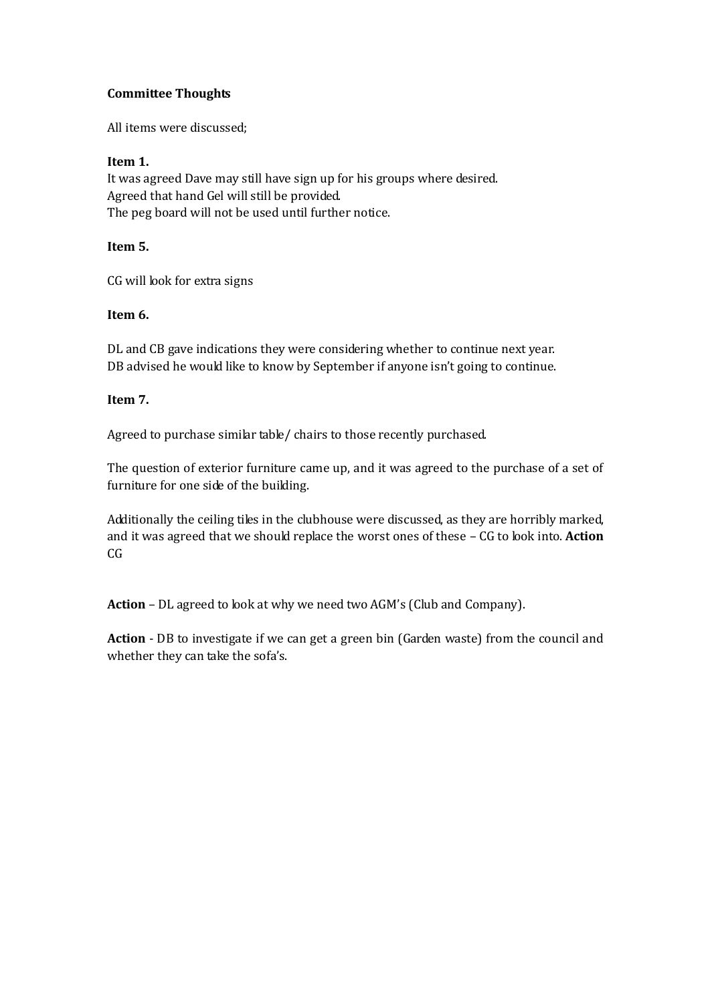## **Committee Thoughts**

All items were discussed;

## **Item 1.**

It was agreed Dave may still have sign up for his groups where desired. Agreed that hand Gel will still be provided. The peg board will not be used until further notice.

## **Item 5.**

CG will look for extra signs

## **Item 6.**

DL and CB gave indications they were considering whether to continue next year. DB advised he would like to know by September if anyone isn't going to continue.

## **Item 7.**

Agreed to purchase similar table/ chairs to those recently purchased.

The question of exterior furniture came up, and it was agreed to the purchase of a set of furniture for one side of the building.

Additionally the ceiling tiles in the clubhouse were discussed, as they are horribly marked, and it was agreed that we should replace the worst ones of these – CG to look into. **Action**  CG

**Action** – DL agreed to look at why we need two AGM's (Club and Company).

**Action** - DB to investigate if we can get a green bin (Garden waste) from the council and whether they can take the sofa's.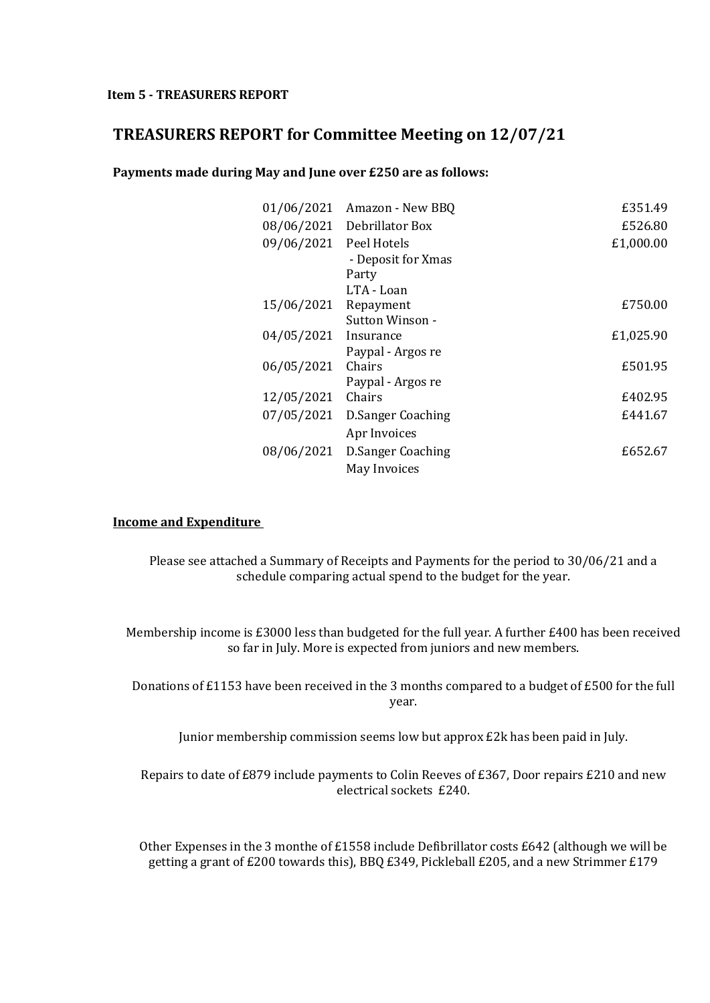# **TREASURERS REPORT for Committee Meeting on 12/07/21**

**Payments made during May and June over £250 are as follows:**

| 01/06/2021 | Amazon - New BBQ                           | £351.49   |
|------------|--------------------------------------------|-----------|
| 08/06/2021 | Debrillator Box                            | £526.80   |
| 09/06/2021 | Peel Hotels<br>- Deposit for Xmas<br>Party | £1,000.00 |
|            | LTA - Loan                                 |           |
| 15/06/2021 | Repayment                                  | £750.00   |
|            | Sutton Winson -                            |           |
| 04/05/2021 | Insurance                                  | £1,025.90 |
|            | Paypal - Argos re                          |           |
| 06/05/2021 | Chairs                                     | £501.95   |
|            | Paypal - Argos re                          |           |
| 12/05/2021 | Chairs                                     | £402.95   |
| 07/05/2021 | D.Sanger Coaching                          | £441.67   |
|            | Apr Invoices                               |           |
| 08/06/2021 | D.Sanger Coaching                          | £652.67   |
|            | May Invoices                               |           |

### **Income and Expenditure**

Please see attached a Summary of Receipts and Payments for the period to 30/06/21 and a schedule comparing actual spend to the budget for the year.

Membership income is £3000 less than budgeted for the full year. A further £400 has been received so far in July. More is expected from juniors and new members.

Donations of £1153 have been received in the 3 months compared to a budget of £500 for the full year.

Junior membership commission seems low but approx £2k has been paid in July.

Repairs to date of £879 include payments to Colin Reeves of £367, Door repairs £210 and new electrical sockets £240.

Other Expenses in the 3 monthe of £1558 include Defibrillator costs £642 (although we will be getting a grant of £200 towards this), BBQ £349, Pickleball £205, and a new Strimmer £179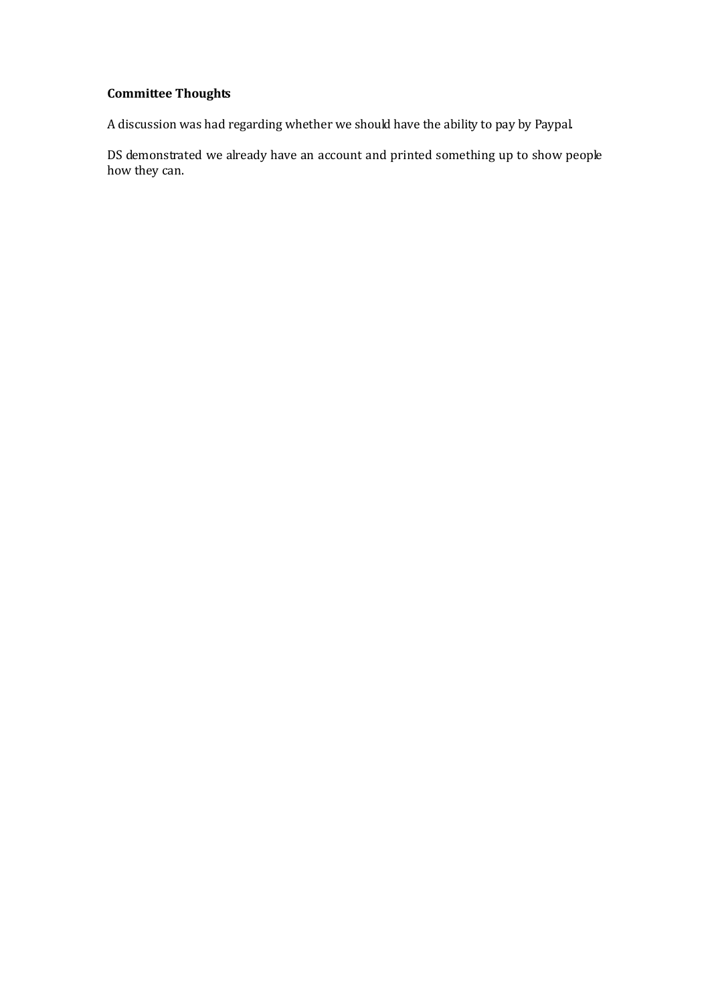# **Committee Thoughts**

A discussion was had regarding whether we should have the ability to pay by Paypal.

DS demonstrated we already have an account and printed something up to show people how they can.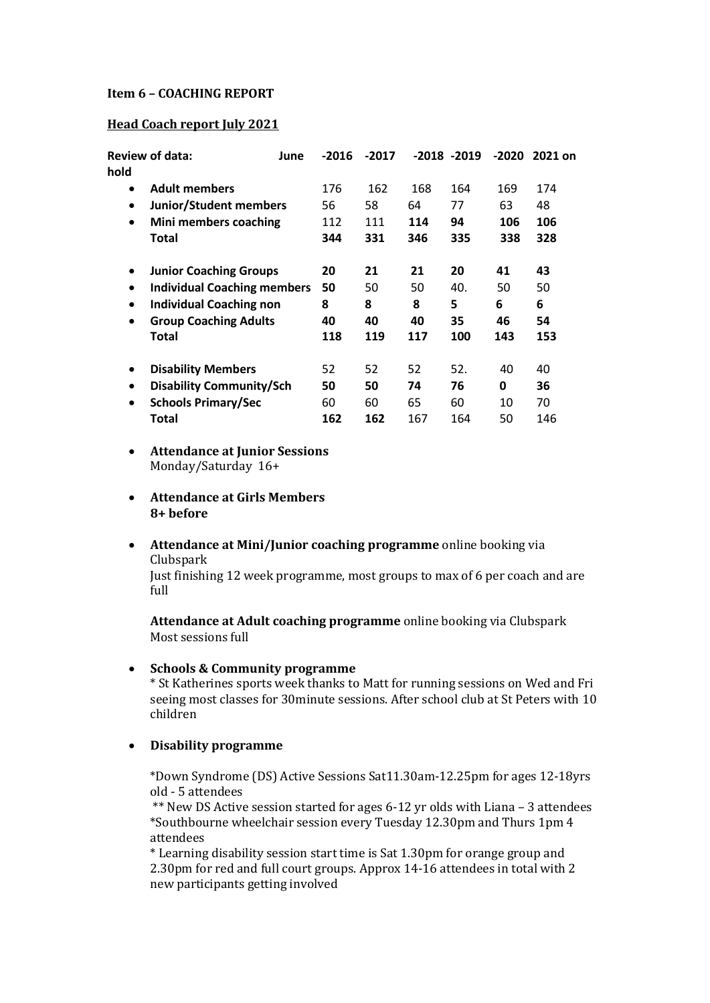#### **Item 6 – COACHING REPORT**

#### **Head Coach report July 2021**

| hold                                            | <b>Review of data:</b><br>June  | $-2016$ | $-2017$ |     | $-2018 - 2019$ | -2020 | 2021 on |
|-------------------------------------------------|---------------------------------|---------|---------|-----|----------------|-------|---------|
| $\bullet$                                       | <b>Adult members</b>            | 176     | 162     | 168 | 164            | 169   | 174     |
| $\bullet$                                       | <b>Junior/Student members</b>   | 56      | 58      | 64  | 77             | 63    | 48      |
| $\bullet$                                       | Mini members coaching           | 112     | 111     | 114 | 94             | 106   | 106     |
|                                                 | Total                           | 344     | 331     | 346 | 335            | 338   | 328     |
| $\bullet$                                       | <b>Junior Coaching Groups</b>   | 20      | 21      | 21  | 20             | 41    | 43      |
| <b>Individual Coaching members</b><br>$\bullet$ |                                 | 50      | 50      | 50  | 40.            | 50    | 50      |
| $\bullet$                                       | <b>Individual Coaching non</b>  | 8       | 8       | 8   | 5              | 6     | 6       |
| $\bullet$                                       | <b>Group Coaching Adults</b>    | 40      | 40      | 40  | 35             | 46    | 54      |
|                                                 | Total                           | 118     | 119     | 117 | 100            | 143   | 153     |
| $\bullet$                                       | <b>Disability Members</b>       | 52      | 52      | 52  | 52.            | 40    | 40      |
| $\bullet$                                       | <b>Disability Community/Sch</b> | 50      | 50      | 74  | 76             | 0     | 36      |
| $\bullet$                                       | <b>Schools Primary/Sec</b>      | 60      | 60      | 65  | 60             | 10    | 70      |
|                                                 | Total                           | 162     | 162     | 167 | 164            | 50    | 146     |

- **Attendance at Junior Sessions** Monday/Saturday 16+
- **Attendance at Girls Members 8+ before**
- **Attendance at Mini/Junior coaching programme** online booking via Clubspark

Just finishing 12 week programme, most groups to max of 6 per coach and are full

**Attendance at Adult coaching programme** online booking via Clubspark Most sessions full

**Schools & Community programme**

\* St Katherines sports week thanks to Matt for running sessions on Wed and Fri seeing most classes for 30minute sessions. After school club at St Peters with 10 children

#### **Disability programme**

\*Down Syndrome (DS) Active Sessions Sat11.30am-12.25pm for ages 12-18yrs old - 5 attendees

\*\* New DS Active session started for ages 6-12 yr olds with Liana – 3 attendees \*Southbourne wheelchair session every Tuesday 12.30pm and Thurs 1pm 4 attendees

\* Learning disability session start time is Sat 1.30pm for orange group and 2.30pm for red and full court groups. Approx 14-16 attendees in total with 2 new participants getting involved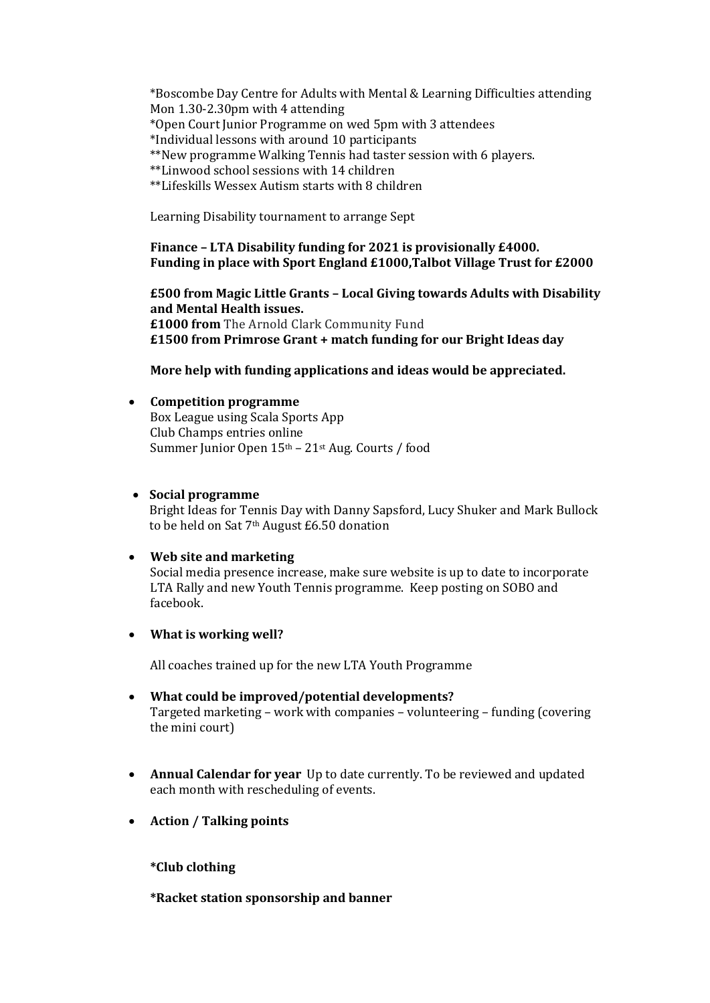\*Boscombe Day Centre for Adults with Mental & Learning Difficulties attending Mon 1.30-2.30pm with 4 attending \*Open Court Junior Programme on wed 5pm with 3 attendees \*Individual lessons with around 10 participants \*\*New programme Walking Tennis had taster session with 6 players. \*\*Linwood school sessions with 14 children \*\*Lifeskills Wessex Autism starts with 8 children

Learning Disability tournament to arrange Sept

**Finance – LTA Disability funding for 2021 is provisionally £4000. Funding in place with Sport England £1000,Talbot Village Trust for £2000** 

**£500 from Magic Little Grants – Local Giving towards Adults with Disability and Mental Health issues. £1000 from** The Arnold Clark Community Fund **£1500 from Primrose Grant + match funding for our Bright Ideas day**

**More help with funding applications and ideas would be appreciated.** 

### **Competition programme**

Box League using Scala Sports App Club Champs entries online Summer Junior Open 15th – 21st Aug. Courts / food

### **Social programme**

Bright Ideas for Tennis Day with Danny Sapsford, Lucy Shuker and Mark Bullock to be held on Sat 7th August £6.50 donation

#### **Web site and marketing**

Social media presence increase, make sure website is up to date to incorporate LTA Rally and new Youth Tennis programme. Keep posting on SOBO and facebook.

**What is working well?**

All coaches trained up for the new LTA Youth Programme

- **What could be improved/potential developments?** Targeted marketing – work with companies – volunteering – funding (covering the mini court)
- **Annual Calendar for year** Up to date currently. To be reviewed and updated each month with rescheduling of events.
- **Action / Talking points**

**\*Club clothing** 

**\*Racket station sponsorship and banner**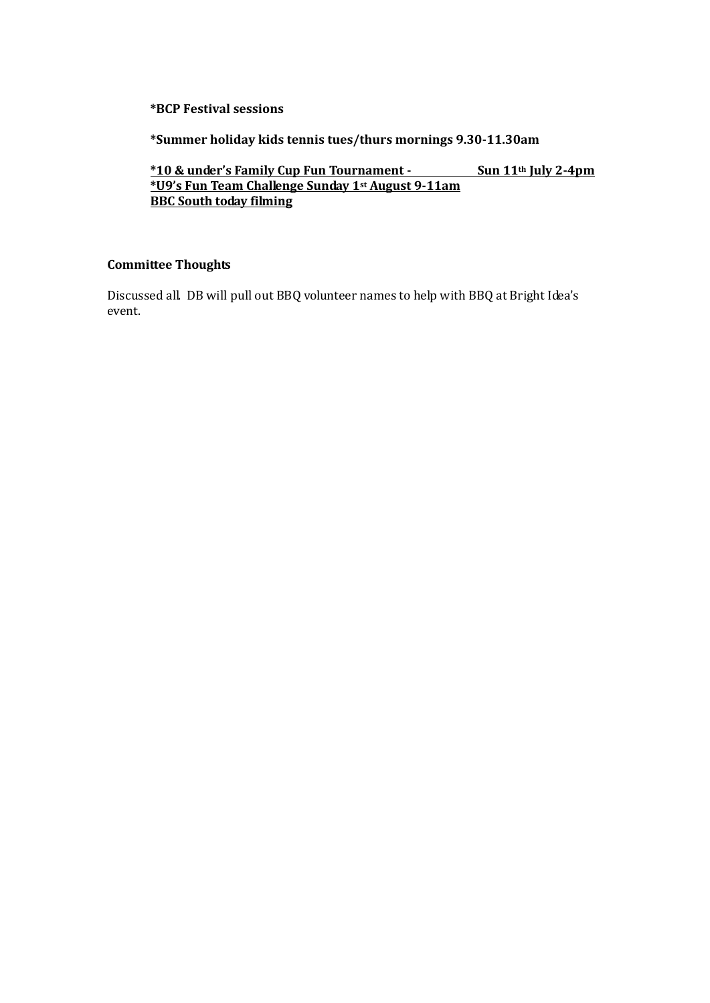**\*BCP Festival sessions**

**\*Summer holiday kids tennis tues/thurs mornings 9.30-11.30am**

**\*10 & under's Family Cup Fun Tournament - Sun 11th July 2-4pm \*U9's Fun Team Challenge Sunday 1st August 9-11am BBC South today filming**

### **Committee Thoughts**

Discussed all. DB will pull out BBQ volunteer names to help with BBQ at Bright Idea's event.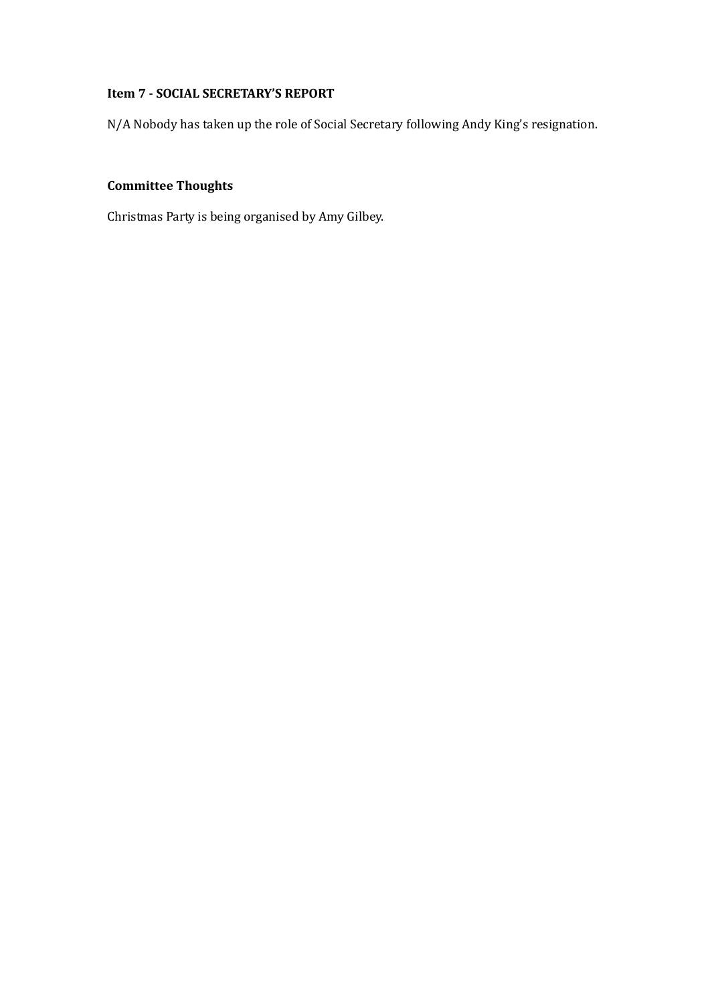# **Item 7 - SOCIAL SECRETARY'S REPORT**

N/A Nobody has taken up the role of Social Secretary following Andy King's resignation.

# **Committee Thoughts**

Christmas Party is being organised by Amy Gilbey.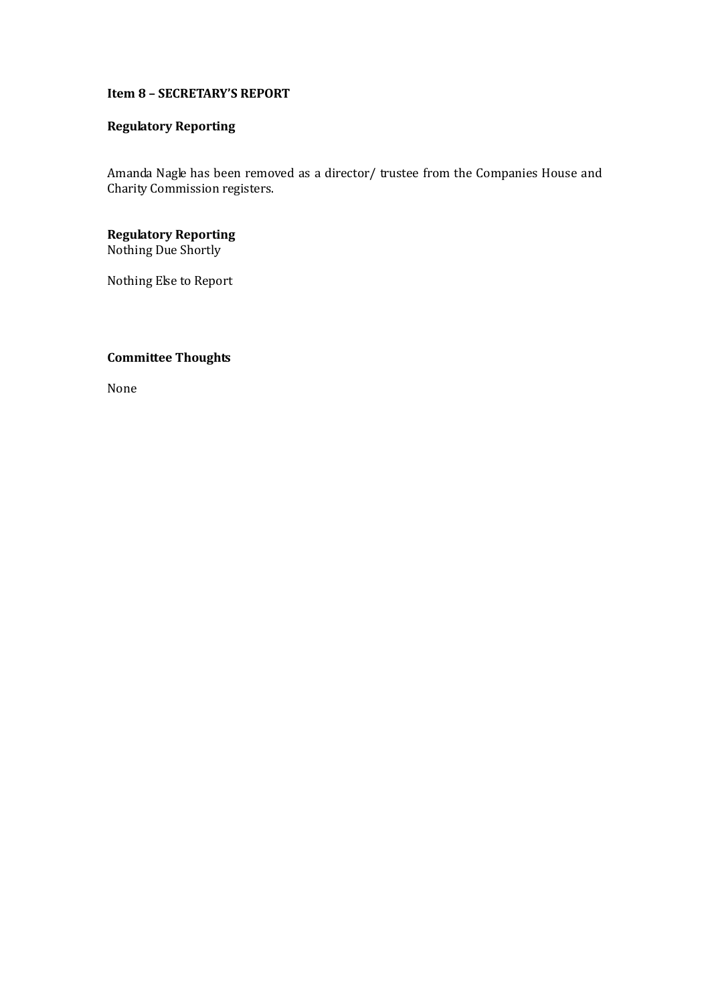## **Item 8 – SECRETARY'S REPORT**

# **Regulatory Reporting**

Amanda Nagle has been removed as a director/ trustee from the Companies House and Charity Commission registers.

**Regulatory Reporting** Nothing Due Shortly

Nothing Else to Report

## **Committee Thoughts**

None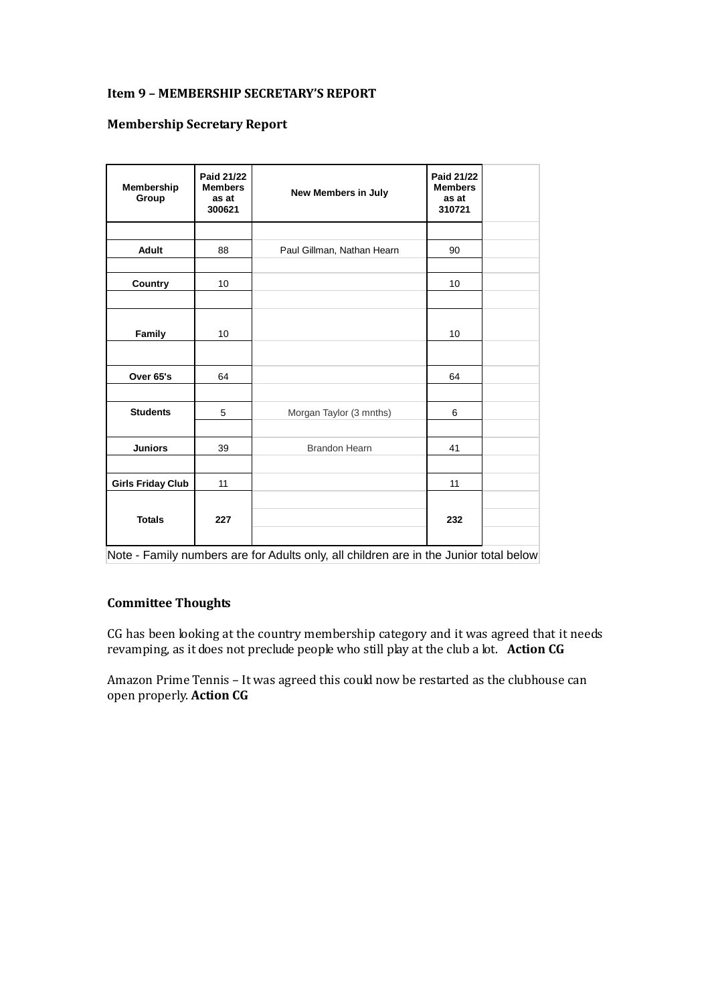### **Item 9 – MEMBERSHIP SECRETARY'S REPORT**

### **Membership Secretary Report**

| Membership<br>Group      | Paid 21/22<br><b>Members</b><br>as at<br>300621 | New Members in July        | Paid 21/22<br><b>Members</b><br>as at<br>310721 |  |
|--------------------------|-------------------------------------------------|----------------------------|-------------------------------------------------|--|
|                          |                                                 |                            |                                                 |  |
| <b>Adult</b>             | 88                                              | Paul Gillman, Nathan Hearn | 90                                              |  |
|                          |                                                 |                            |                                                 |  |
| Country                  | 10                                              |                            | 10                                              |  |
|                          |                                                 |                            |                                                 |  |
| Family                   | 10                                              |                            | 10                                              |  |
|                          |                                                 |                            |                                                 |  |
| Over 65's                | 64                                              |                            | 64                                              |  |
|                          |                                                 |                            |                                                 |  |
| <b>Students</b>          | 5                                               | Morgan Taylor (3 mnths)    | 6                                               |  |
|                          |                                                 |                            |                                                 |  |
| <b>Juniors</b>           | 39                                              | <b>Brandon Hearn</b>       | 41                                              |  |
|                          |                                                 |                            |                                                 |  |
| <b>Girls Friday Club</b> | 11                                              |                            | 11                                              |  |
| <b>Totals</b>            | 227                                             |                            | 232                                             |  |

Note - Family numbers are for Adults only, all children are in the Junior total below

## **Committee Thoughts**

CG has been looking at the country membership category and it was agreed that it needs revamping, as it does not preclude people who still play at the club a lot. **Action CG**

Amazon Prime Tennis – It was agreed this could now be restarted as the clubhouse can open properly. **Action CG**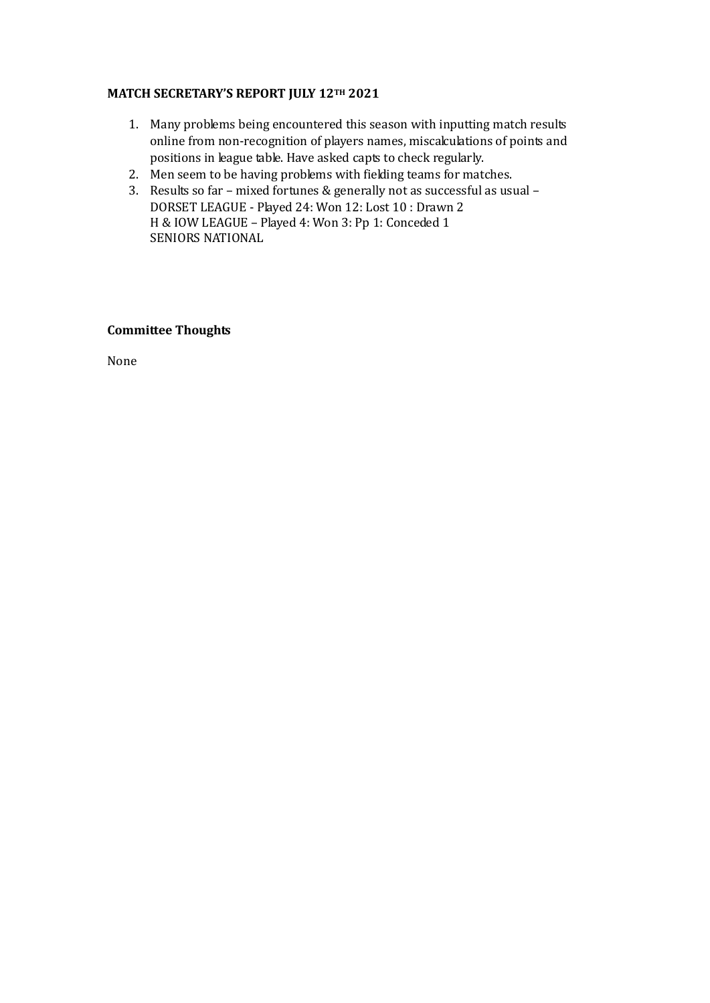### **MATCH SECRETARY'S REPORT JULY 12TH 2021**

- 1. Many problems being encountered this season with inputting match results online from non-recognition of players names, miscalculations of points and positions in league table. Have asked capts to check regularly.
- 2. Men seem to be having problems with fielding teams for matches.
- 3. Results so far mixed fortunes & generally not as successful as usual DORSET LEAGUE - Played 24: Won 12: Lost 10 : Drawn 2 H & IOW LEAGUE – Played 4: Won 3: Pp 1: Conceded 1 SENIORS NATIONAL

### **Committee Thoughts**

None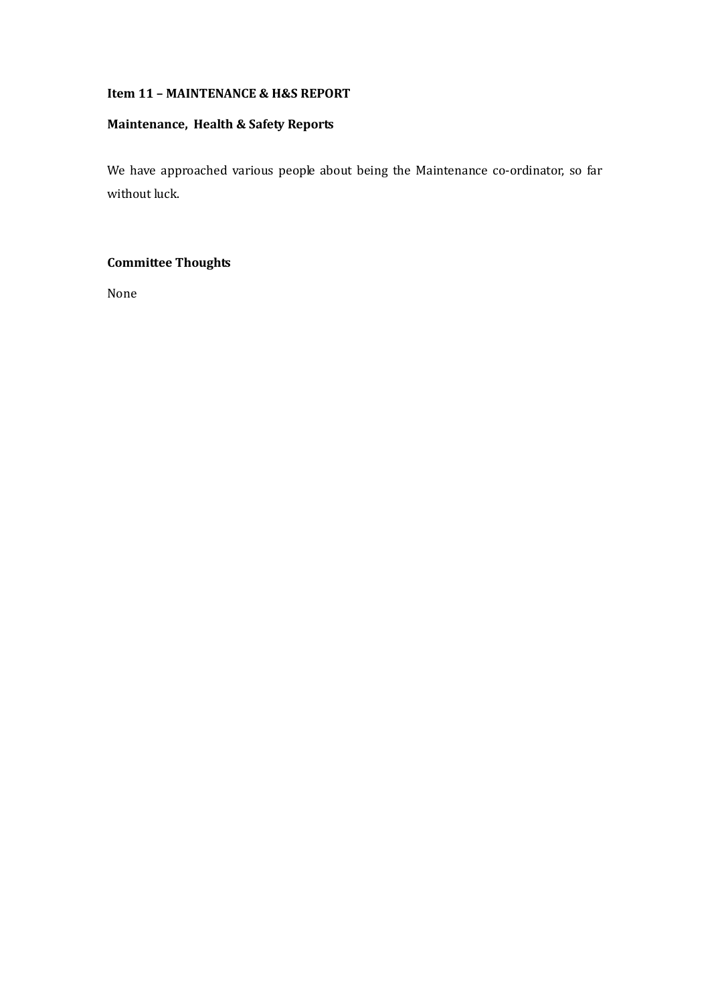### **Item 11 – MAINTENANCE & H&S REPORT**

# **Maintenance, Health & Safety Reports**

We have approached various people about being the Maintenance co-ordinator, so far without luck.

# **Committee Thoughts**

None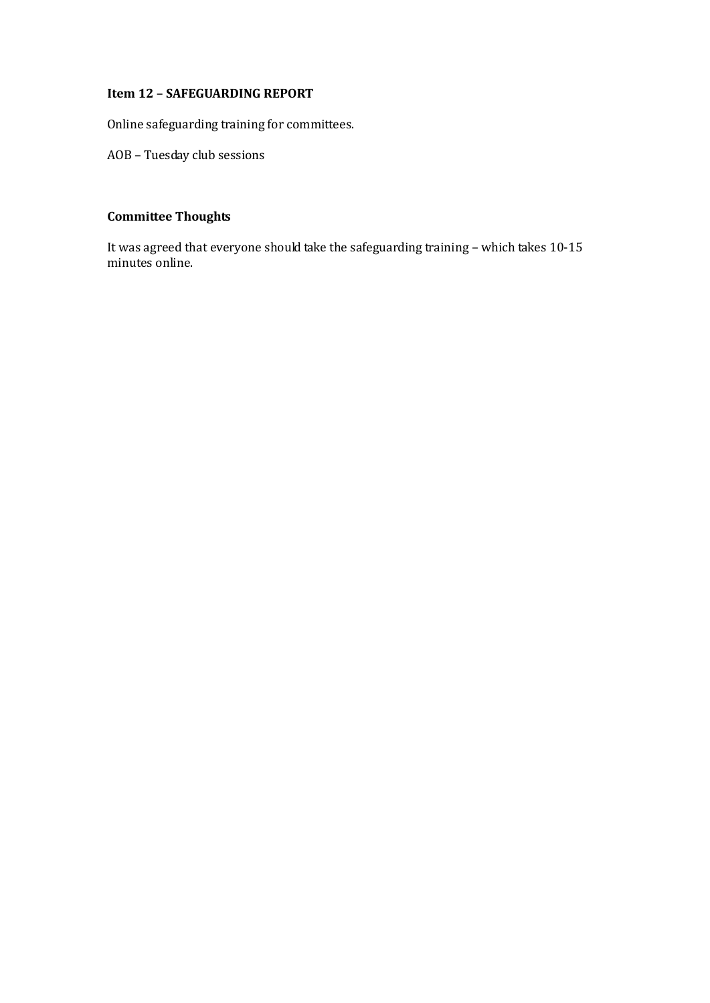## **Item 12 – SAFEGUARDING REPORT**

Online safeguarding training for committees.

AOB – Tuesday club sessions

# **Committee Thoughts**

It was agreed that everyone should take the safeguarding training – which takes 10-15 minutes online.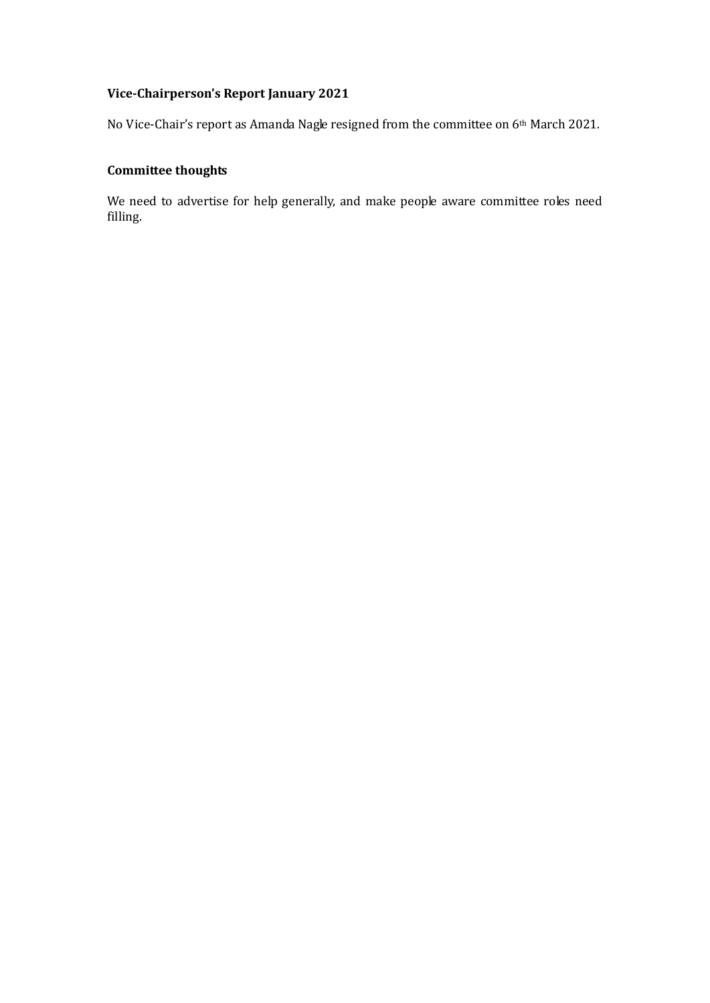# **Vice-Chairperson's Report January 2021**

No Vice-Chair's report as Amanda Nagle resigned from the committee on 6<sup>th</sup> March 2021.

# **Committee thoughts**

We need to advertise for help generally, and make people aware committee roles need filling.